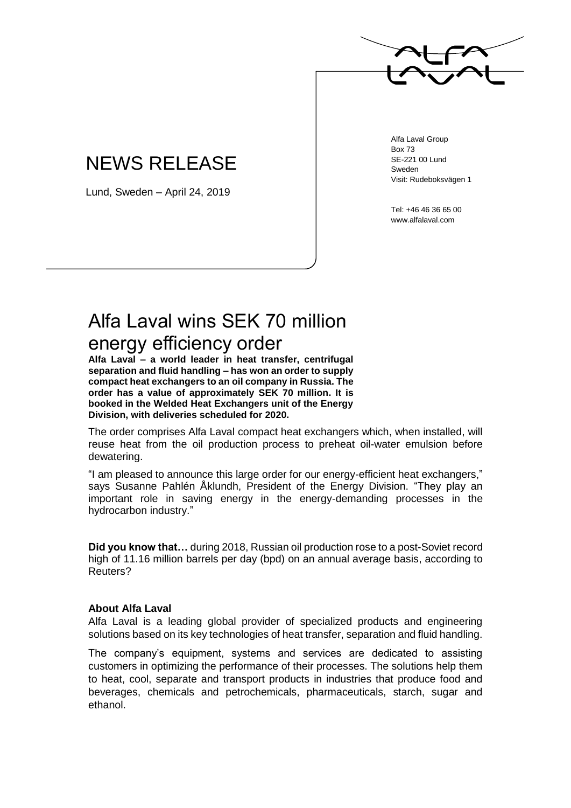

## NEWS RELEASE

Lund, Sweden – April 24, 2019

Alfa Laval Group Box 73 SE-221 00 Lund Sweden Visit: Rudeboksvägen 1

Tel: +46 46 36 65 00 www.alfalaval.com

## Alfa Laval wins SEK 70 million energy efficiency order

**Alfa Laval – a world leader in heat transfer, centrifugal separation and fluid handling – has won an order to supply compact heat exchangers to an oil company in Russia. The order has a value of approximately SEK 70 million. It is booked in the Welded Heat Exchangers unit of the Energy Division, with deliveries scheduled for 2020.**

The order comprises Alfa Laval compact heat exchangers which, when installed, will reuse heat from the oil production process to preheat oil-water emulsion before dewatering.

"I am pleased to announce this large order for our energy-efficient heat exchangers," says Susanne Pahlén Åklundh, President of the Energy Division. "They play an important role in saving energy in the energy-demanding processes in the hydrocarbon industry."

**Did you know that…** during 2018, Russian oil production rose to a post-Soviet record high of 11.16 million barrels per day (bpd) on an annual average basis, according to Reuters?

## **About Alfa Laval**

Alfa Laval is a leading global provider of specialized products and engineering solutions based on its key technologies of heat transfer, separation and fluid handling.

The company's equipment, systems and services are dedicated to assisting customers in optimizing the performance of their processes. The solutions help them to heat, cool, separate and transport products in industries that produce food and beverages, chemicals and petrochemicals, pharmaceuticals, starch, sugar and ethanol.